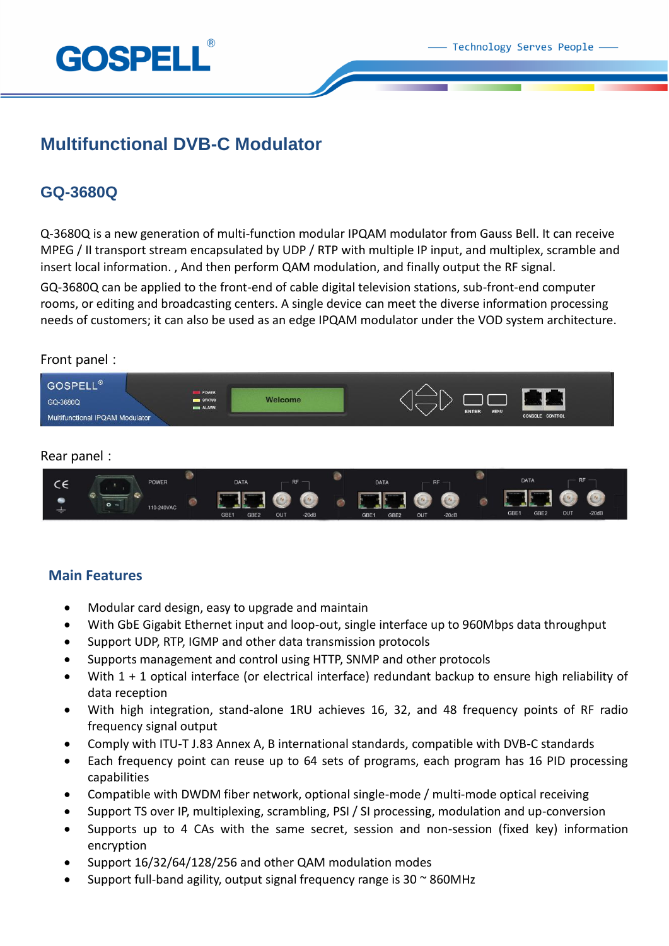

## **Multifunctional DVB-C Modulator**

### **GQ-3680Q**

Q-3680Q is a new generation of multi-function modular IPQAM modulator from Gauss Bell. It can receive MPEG / II transport stream encapsulated by UDP / RTP with multiple IP input, and multiplex, scramble and insert local information. , And then perform QAM modulation, and finally output the RF signal.

GQ-3680Q can be applied to the front-end of cable digital television stations, sub-front-end computer rooms, or editing and broadcasting centers. A single device can meet the diverse information processing needs of customers; it can also be used as an edge IPQAM modulator under the VOD system architecture.

#### Front panel:



#### Rear panel:



#### **Main Features**

- Modular card design, easy to upgrade and maintain
- With GbE Gigabit Ethernet input and loop-out, single interface up to 960Mbps data throughput
- Support UDP, RTP, IGMP and other data transmission protocols
- Supports management and control using HTTP, SNMP and other protocols
- With 1 + 1 optical interface (or electrical interface) redundant backup to ensure high reliability of data reception
- With high integration, stand-alone 1RU achieves 16, 32, and 48 frequency points of RF radio frequency signal output
- Comply with ITU-T J.83 Annex A, B international standards, compatible with DVB-C standards
- Each frequency point can reuse up to 64 sets of programs, each program has 16 PID processing capabilities
- Compatible with DWDM fiber network, optional single-mode / multi-mode optical receiving
- Support TS over IP, multiplexing, scrambling, PSI / SI processing, modulation and up-conversion
- Supports up to 4 CAs with the same secret, session and non-session (fixed key) information encryption
- Support 16/32/64/128/256 and other QAM modulation modes
- Support full-band agility, output signal frequency range is  $30 \approx 860$ MHz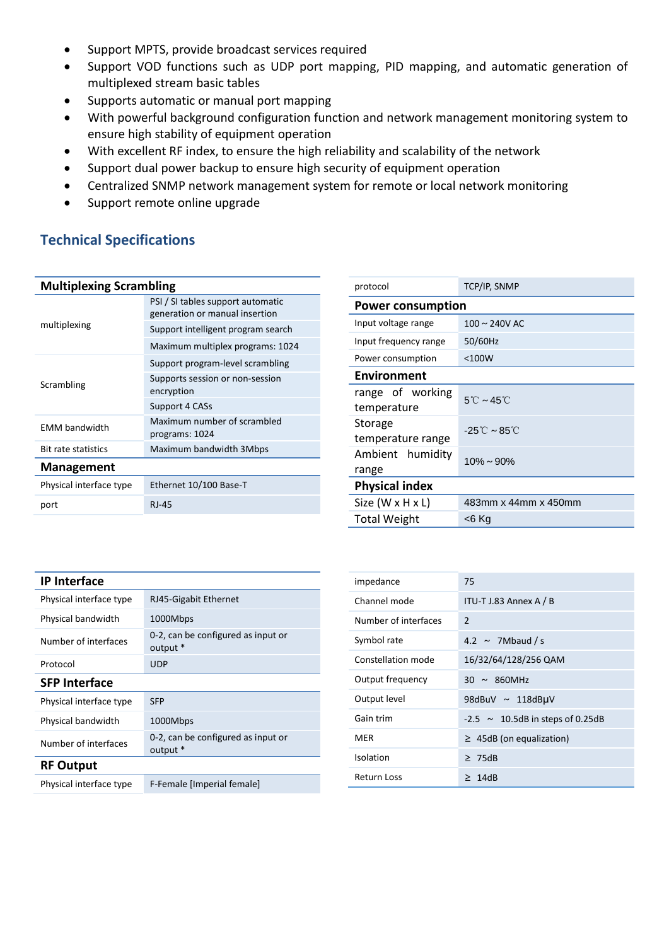- Support MPTS, provide broadcast services required
- Support VOD functions such as UDP port mapping, PID mapping, and automatic generation of multiplexed stream basic tables
- Supports automatic or manual port mapping
- With powerful background configuration function and network management monitoring system to ensure high stability of equipment operation
- With excellent RF index, to ensure the high reliability and scalability of the network
- Support dual power backup to ensure high security of equipment operation
- Centralized SNMP network management system for remote or local network monitoring
- Support remote online upgrade

### **Technical Specifications**

#### **Multiplexing Scrambling**

| multiplexing               | PSI / SI tables support automatic<br>generation or manual insertion |  |
|----------------------------|---------------------------------------------------------------------|--|
|                            | Support intelligent program search                                  |  |
|                            | Maximum multiplex programs: 1024                                    |  |
| Scrambling                 | Support program-level scrambling                                    |  |
|                            | Supports session or non-session<br>encryption                       |  |
|                            | Support 4 CASs                                                      |  |
| <b>EMM bandwidth</b>       | Maximum number of scrambled<br>programs: 1024                       |  |
| <b>Bit rate statistics</b> | Maximum bandwidth 3Mbps                                             |  |
| <b>Management</b>          |                                                                     |  |
| Physical interface type    | Ethernet 10/100 Base-T                                              |  |
| port                       | <b>RJ-45</b>                                                        |  |
|                            |                                                                     |  |

| protocol                        | TCP/IP, SNMP                                  |  |
|---------------------------------|-----------------------------------------------|--|
| <b>Power consumption</b>        |                                               |  |
| Input voltage range             | $100 \sim 240V$ AC                            |  |
| Input frequency range           | 50/60Hz                                       |  |
| Power consumption               | $<$ 100 $W$                                   |  |
| <b>Environment</b>              |                                               |  |
| range of working<br>temperature | $5^{\circ}$ C ~ 45 $^{\circ}$ C               |  |
| Storage<br>temperature range    | $-25^{\circ}\text{C} \sim 85^{\circ}\text{C}$ |  |
| Ambient humidity<br>range       | $10\% \sim 90\%$                              |  |
| <b>Physical index</b>           |                                               |  |
| Size $(W \times H \times L)$    | 483mm x 44mm x 450mm                          |  |
| Total Weight                    | <6 Kg                                         |  |
|                                 |                                               |  |

| <b>IP Interface</b>     |                                                |  |
|-------------------------|------------------------------------------------|--|
| Physical interface type | RJ45-Gigabit Ethernet                          |  |
| Physical bandwidth      | 1000Mbps                                       |  |
| Number of interfaces    | 0-2, can be configured as input or<br>output * |  |
| Protocol                | <b>UDP</b>                                     |  |
| <b>SFP Interface</b>    |                                                |  |
| Physical interface type | <b>SFP</b>                                     |  |
| Physical bandwidth      | 1000Mbps                                       |  |
| Number of interfaces    | 0-2, can be configured as input or<br>output * |  |
| <b>RF Output</b>        |                                                |  |
| Physical interface type | F-Female [Imperial female]                     |  |

| impedance            | 75                                    |
|----------------------|---------------------------------------|
| Channel mode         | ITU-T J.83 Annex A / B                |
| Number of interfaces | $\overline{2}$                        |
| Symbol rate          | 4.2 $\sim$ 7Mbaud / s                 |
| Constellation mode   | 16/32/64/128/256 QAM                  |
| Output frequency     | $30 \sim 860$ MHz                     |
| Output level         | 98dBuV $\sim$ 118dBµV                 |
| Gain trim            | $-2.5 \sim 10.5dB$ in steps of 0.25dB |
| MER                  | $\geq$ 45dB (on equalization)         |
| Isolation            | $\geq 75dB$                           |
| Return Loss          | $\geq 14dB$                           |